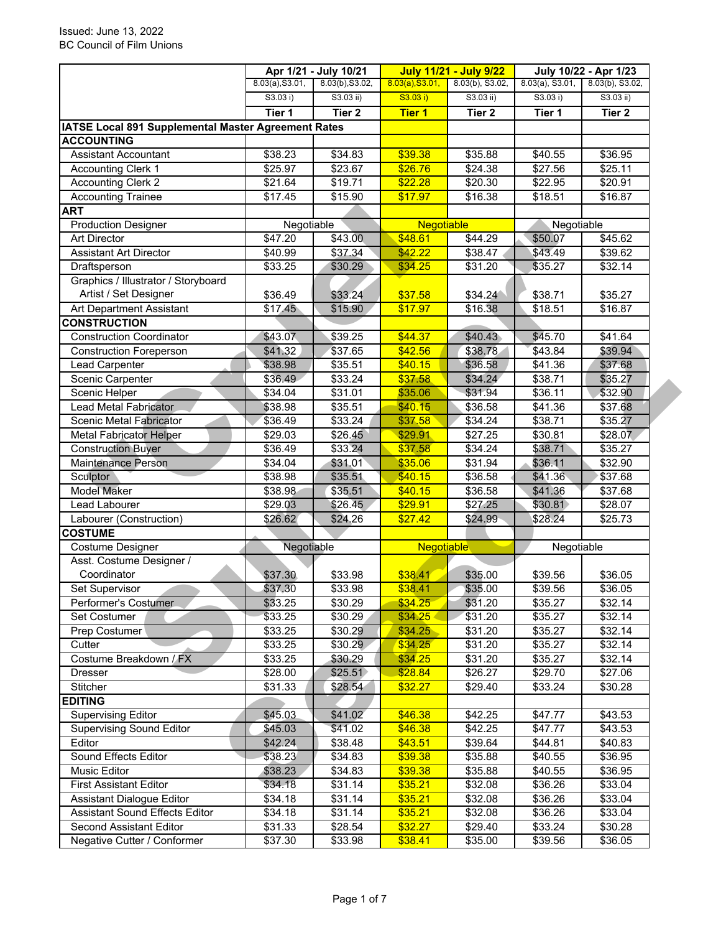|                                                     |                 | Apr 1/21 - July 10/21 |                 | <b>July 11/21 - July 9/22</b> |                    | July 10/22 - Apr 1/23 |  |
|-----------------------------------------------------|-----------------|-----------------------|-----------------|-------------------------------|--------------------|-----------------------|--|
|                                                     | 8.03(a), S3.01, | 8.03(b), S3.02,       | 8.03(a), S3.01, | $8.03(b)$ , S3.02,            | $8.03(a)$ , S3.01, | 8.03(b), S3.02,       |  |
|                                                     | S3.03 i)        | S3.03 ii)             | S3.03 i)        | $S3.03$ ii)                   | S3.03 i)           | $S3.03$ ii)           |  |
|                                                     | Tier 1          | Tier 2                | <b>Tier 1</b>   | Tier <sub>2</sub>             | Tier 1             | Tier <sub>2</sub>     |  |
| IATSE Local 891 Supplemental Master Agreement Rates |                 |                       |                 |                               |                    |                       |  |
| <b>ACCOUNTING</b>                                   |                 |                       |                 |                               |                    |                       |  |
| <b>Assistant Accountant</b>                         | \$38.23         | \$34.83               | \$39.38         | \$35.88                       | \$40.55            | \$36.95               |  |
| <b>Accounting Clerk 1</b>                           | \$25.97         | \$23.67               | \$26.76         | \$24.38                       | \$27.56            | \$25.11               |  |
| <b>Accounting Clerk 2</b>                           | \$21.64         | \$19.71               | \$22.28         | \$20.30                       | \$22.95            | \$20.91               |  |
| <b>Accounting Trainee</b>                           | \$17.45         | \$15.90               | \$17.97         | \$16.38                       | \$18.51            | \$16.87               |  |
| <b>ART</b>                                          |                 |                       |                 |                               |                    |                       |  |
| <b>Production Designer</b>                          | Negotiable      |                       | Negotiable      |                               | Negotiable         |                       |  |
| <b>Art Director</b>                                 | \$47.20         | \$43.00               | \$48.61         | \$44.29                       | \$50.07            | \$45.62               |  |
| <b>Assistant Art Director</b>                       | \$40.99         | \$37.34               | \$42.22         | \$38.47                       | \$43.49            | \$39.62               |  |
| Draftsperson                                        | \$33.25         | \$30.29               | \$34.25         | \$31.20                       | \$35.27            | \$32.14               |  |
| Graphics / Illustrator / Storyboard                 |                 |                       |                 |                               |                    |                       |  |
| Artist / Set Designer                               | \$36.49         | \$33.24               | \$37.58         | \$34.24                       | \$38.71            | \$35.27               |  |
| Art Department Assistant                            | \$17.45         | \$15.90               | \$17.97         | \$16.38                       | \$18.51            | \$16.87               |  |
| <b>CONSTRUCTION</b>                                 |                 |                       |                 |                               |                    |                       |  |
| <b>Construction Coordinator</b>                     | \$43.07         | \$39.25               | \$44.37         | \$40.43                       | \$45.70            | \$41.64               |  |
| <b>Construction Foreperson</b>                      | \$41.32         | \$37.65               | \$42.56         | \$38.78                       | \$43.84            | \$39.94               |  |
| Lead Carpenter                                      | \$38.98         | \$35.51               | \$40.15         | \$36.58                       | \$41.36            | \$37.68               |  |
| Scenic Carpenter                                    | \$36.49         | \$33.24               | \$37.58         | \$34.24                       | \$38.71            | \$35.27               |  |
| Scenic Helper                                       | \$34.04         | \$31.01               | \$35.06         | \$31.94                       | \$36.11            | \$32.90               |  |
| <b>Lead Metal Fabricator</b>                        | \$38.98         | \$35.51               | \$40.15         | \$36.58                       | \$41.36            | \$37.68               |  |
| Scenic Metal Fabricator                             | \$36.49         | \$33.24               | \$37.58         | \$34.24                       | \$38.71            | \$35.27               |  |
| <b>Metal Fabricator Helper</b>                      | \$29.03         | \$26.45               | \$29.91         | $\overline{$27.25}$           | \$30.81            | \$28.07               |  |
| <b>Construction Buyer</b>                           | \$36.49         | \$33.24               | \$37.58         | \$34.24                       | \$38.71            | \$35.27               |  |
| <b>Maintenance Person</b>                           | \$34.04         | \$31.01               | \$35.06         | \$31.94                       | \$36.11            | \$32.90               |  |
| Sculptor                                            | \$38.98         | \$35.51               | \$40.15         | \$36.58                       | \$41.36            | $\sqrt{$37.68}$       |  |
| <b>Model Maker</b>                                  | \$38.98         | \$35.51               | \$40.15         | \$36.58                       | \$41.36            | \$37.68               |  |
| Lead Labourer                                       | \$29.03         | \$26.45               | \$29.91         | $\overline{$27.25}$           | \$30.81            | \$28.07               |  |
| Labourer (Construction)                             | \$26.62         | \$24.26               | \$27.42         | \$24.99                       | \$28.24            | \$25.73               |  |
| <b>COSTUME</b>                                      |                 |                       |                 |                               |                    |                       |  |
| Costume Designer                                    | Negotiable      |                       | Negotiable      |                               | Negotiable         |                       |  |
| Asst. Costume Designer /                            |                 |                       |                 |                               |                    |                       |  |
| Coordinator                                         | \$37.30         | \$33.98               | \$38.41         | \$35.00                       | \$39.56            | \$36.05               |  |
| Set Supervisor                                      | \$37.30         | \$33.98               | \$38.41         | \$35.00                       | \$39.56            | \$36.05               |  |
| Performer's Costumer                                | \$33.25         | \$30.29               | \$34.25         | \$31.20                       | \$35.27            | \$32.14               |  |
| Set Costumer                                        | \$33.25         | \$30.29               | \$34.25         | \$31.20                       | \$35.27            | \$32.14               |  |
| Prep Costumer                                       | \$33.25         | \$30.29               | \$34.25         | \$31.20                       | \$35.27            | \$32.14               |  |
| Cutter                                              | \$33.25         | \$30.29               | \$34.25         | \$31.20                       | \$35.27            | \$32.14               |  |
| Costume Breakdown / FX                              | \$33.25         | \$30.29               | \$34.25         | \$31.20                       | \$35.27            | \$32.14               |  |
| Dresser                                             | \$28.00         | \$25.51               | \$28.84         | \$26.27                       | \$29.70            | \$27.06               |  |
| Stitcher                                            | \$31.33         | \$28.54               | \$32.27         | \$29.40                       | \$33.24            | \$30.28               |  |
| <b>EDITING</b>                                      |                 |                       |                 |                               |                    |                       |  |
| <b>Supervising Editor</b>                           | \$45.03         | \$41.02               | \$46.38         | \$42.25                       | \$47.77            | \$43.53               |  |
| <b>Supervising Sound Editor</b>                     | \$45.03         | \$41.02               | \$46.38         | \$42.25                       | \$47.77            | \$43.53               |  |
| Editor                                              | \$42.24         | $\overline{$}38.48$   | \$43.51         | \$39.64                       | \$44.81            | \$40.83               |  |
| Sound Effects Editor                                | \$38.23         | \$34.83               | \$39.38         | \$35.88                       | \$40.55            | \$36.95               |  |
| Music Editor                                        | \$38.23         | \$34.83               | \$39.38         | \$35.88                       | \$40.55            | \$36.95               |  |
| <b>First Assistant Editor</b>                       | \$34.18         | \$31.14               | \$35.21         | \$32.08                       | \$36.26            | \$33.04               |  |
| <b>Assistant Dialogue Editor</b>                    | \$34.18         | \$31.14               | \$35.21         | \$32.08                       | \$36.26            | \$33.04               |  |
| <b>Assistant Sound Effects Editor</b>               | \$34.18         | \$31.14               | \$35.21         | \$32.08                       | \$36.26            | \$33.04               |  |
| Second Assistant Editor                             | \$31.33         | \$28.54               | \$32.27         | \$29.40                       | \$33.24            | \$30.28               |  |
| Negative Cutter / Conformer                         | \$37.30         | \$33.98               | \$38.41         | \$35.00                       | \$39.56            | \$36.05               |  |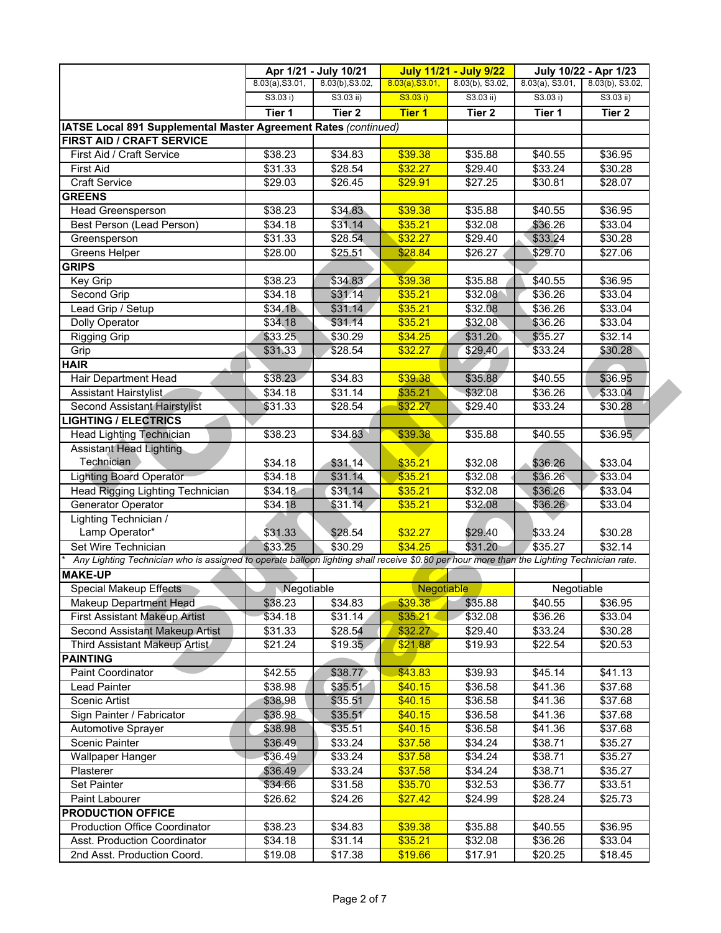|                                                                                                                                           |                     | Apr 1/21 - July 10/21 |                 | <b>July 11/21 - July 9/22</b> | July 10/22 - Apr 1/23 |                    |
|-------------------------------------------------------------------------------------------------------------------------------------------|---------------------|-----------------------|-----------------|-------------------------------|-----------------------|--------------------|
|                                                                                                                                           | 8.03(a), S3.01,     | 8.03(b), S3.02,       | 8.03(a), S3.01, | 8.03(b), S3.02,               | $8.03(a)$ , S3.01,    | $8.03(b)$ , S3.02, |
|                                                                                                                                           | S3.03 i)            | S3.03 ii)             | S3.03 i)        | $S3.03$ ii)                   | S3.03 i)              | S3.03 ii)          |
|                                                                                                                                           | Tier 1              | Tier <sub>2</sub>     | <b>Tier 1</b>   | Tier <sub>2</sub>             | Tier 1                | Tier 2             |
| IATSE Local 891 Supplemental Master Agreement Rates (continued)                                                                           |                     |                       |                 |                               |                       |                    |
| FIRST AID / CRAFT SERVICE                                                                                                                 |                     |                       |                 |                               |                       |                    |
| First Aid / Craft Service                                                                                                                 | \$38.23             | \$34.83               | \$39.38         | \$35.88                       | \$40.55               | \$36.95            |
| <b>First Aid</b>                                                                                                                          | \$31.33             | \$28.54               | \$32.27         | \$29.40                       | \$33.24               | \$30.28            |
| <b>Craft Service</b>                                                                                                                      | \$29.03             | \$26.45               | \$29.91         | \$27.25                       | \$30.81               | \$28.07            |
| <b>GREENS</b>                                                                                                                             |                     |                       |                 |                               |                       |                    |
| Head Greensperson                                                                                                                         | \$38.23             | \$34.83               | \$39.38         | \$35.88                       | \$40.55               | \$36.95            |
| Best Person (Lead Person)                                                                                                                 | \$34.18             | \$31.14               | \$35.21         | \$32.08                       | \$36.26               | \$33.04            |
| Greensperson                                                                                                                              | \$31.33             | \$28.54               | \$32.27         | \$29.40                       | \$33.24               | \$30.28            |
| <b>Greens Helper</b>                                                                                                                      | \$28.00             | \$25.51               | \$28.84         | \$26.27                       | \$29.70               | \$27.06            |
| <b>GRIPS</b>                                                                                                                              |                     |                       |                 |                               |                       |                    |
| Key Grip                                                                                                                                  | $\overline{$38.23}$ | \$34.83               | \$39.38         | \$35.88                       | \$40.55               | \$36.95            |
| Second Grip                                                                                                                               | \$34.18             | \$31.14               | \$35.21         | \$32.08                       | \$36.26               | \$33.04            |
| Lead Grip / Setup                                                                                                                         | \$34.18             | \$31.14               | \$35.21         | \$32.08                       | \$36.26               | \$33.04            |
| Dolly Operator                                                                                                                            | \$34.18             | \$31.14               | \$35.21         | \$32.08                       | \$36.26               | \$33.04            |
| Rigging Grip                                                                                                                              | \$33.25             | \$30.29               | \$34.25         | \$31.20                       | \$35.27               | \$32.14            |
| Grip                                                                                                                                      | \$31.33             | \$28.54               | \$32.27         | \$29.40                       | \$33.24               | \$30.28            |
| <b>HAIR</b>                                                                                                                               |                     |                       |                 |                               |                       |                    |
| Hair Department Head                                                                                                                      | \$38.23             | \$34.83               | \$39.38         | \$35.88                       | \$40.55               | \$36.95            |
| <b>Assistant Hairstylist</b>                                                                                                              | \$34.18             | \$31.14               | \$35.21         | \$32.08                       | \$36.26               | \$33.04            |
| Second Assistant Hairstylist                                                                                                              | \$31.33             | \$28.54               | \$32.27         | \$29.40                       | \$33.24               | \$30.28            |
| <b>LIGHTING / ELECTRICS</b>                                                                                                               |                     |                       |                 |                               |                       |                    |
| <b>Head Lighting Technician</b>                                                                                                           | \$38.23             | \$34.83               | \$39.38         | \$35.88                       | \$40.55               | \$36.95            |
| <b>Assistant Head Lighting</b>                                                                                                            |                     |                       |                 |                               |                       |                    |
| Technician                                                                                                                                | \$34.18             | \$31.14               | \$35.21         | \$32.08                       | \$36.26               | \$33.04            |
| <b>Lighting Board Operator</b>                                                                                                            | \$34.18             | \$31.14               | \$35.21         | \$32.08                       | \$36.26               | \$33.04            |
| Head Rigging Lighting Technician                                                                                                          | \$34.18             | \$31.14               | \$35.21         | \$32.08                       | \$36.26               | \$33.04            |
| Generator Operator                                                                                                                        | \$34.18             | \$31.14               | \$35.21         | \$32.08                       | \$36.26               | \$33.04            |
| Lighting Technician /                                                                                                                     |                     |                       |                 |                               |                       |                    |
| Lamp Operator*                                                                                                                            | \$31.33             | \$28.54               | \$32.27         | \$29.40                       | \$33.24               | \$30.28            |
| Set Wire Technician                                                                                                                       | \$33.25             | \$30.29               | \$34.25         | \$31.20                       | \$35.27               | \$32.14            |
| Any Lighting Technician who is assigned to operate balloon lighting shall receive \$0.80 per hour more than the Lighting Technician rate. |                     |                       |                 |                               |                       |                    |
| <b>MAKE-UP</b>                                                                                                                            |                     |                       |                 |                               |                       |                    |
| <b>Special Makeup Effects</b>                                                                                                             | Negotiable          |                       | Negotiable      |                               | Negotiable            |                    |
| Makeup Department Head                                                                                                                    | \$38.23             | \$34.83               | \$39.38         | \$35.88                       | \$40.55               | \$36.95            |
| <b>First Assistant Makeup Artist</b>                                                                                                      | \$34.18             | \$31.14               | \$35.21         | \$32.08                       | \$36.26               | \$33.04            |
| Second Assistant Makeup Artist                                                                                                            | \$31.33             | \$28.54               | \$32.27         | \$29.40                       | \$33.24               | \$30.28            |
| Third Assistant Makeup Artist                                                                                                             | \$21.24             | \$19.35               | \$21.88         | \$19.93                       | \$22.54               | \$20.53            |
| <b>PAINTING</b>                                                                                                                           |                     |                       |                 |                               |                       |                    |
| <b>Paint Coordinator</b>                                                                                                                  | \$42.55             | \$38.77               | \$43.83         | \$39.93                       | \$45.14               | \$41.13            |
| Lead Painter                                                                                                                              | \$38.98             | \$35.51               | \$40.15         | \$36.58                       | \$41.36               | \$37.68            |
| Scenic Artist                                                                                                                             | \$38.98             | \$35.51               | \$40.15         | \$36.58                       | \$41.36               | \$37.68            |
| Sign Painter / Fabricator                                                                                                                 | \$38.98             | \$35.51               | \$40.15         | \$36.58                       | \$41.36               | \$37.68            |
| <b>Automotive Sprayer</b>                                                                                                                 | \$38.98             | \$35.51               | \$40.15         | \$36.58                       | \$41.36               | \$37.68            |
| <b>Scenic Painter</b>                                                                                                                     | \$36.49             | \$33.24               | \$37.58         | \$34.24                       | \$38.71               | \$35.27            |
| <b>Wallpaper Hanger</b>                                                                                                                   | \$36.49             | \$33.24               | \$37.58         | \$34.24                       | \$38.71               | \$35.27            |
| Plasterer                                                                                                                                 | \$36.49             | \$33.24               | \$37.58         | \$34.24                       | \$38.71               | \$35.27            |
| Set Painter                                                                                                                               | \$34.66             | \$31.58               | \$35.70         | \$32.53                       | \$36.77               | \$33.51            |
| Paint Labourer                                                                                                                            | \$26.62             | \$24.26               | \$27.42         | \$24.99                       | \$28.24               | \$25.73            |
| <b>PRODUCTION OFFICE</b>                                                                                                                  |                     |                       |                 |                               |                       |                    |
| <b>Production Office Coordinator</b>                                                                                                      | \$38.23             | \$34.83               | \$39.38         | \$35.88                       | \$40.55               | \$36.95            |
| Asst. Production Coordinator                                                                                                              | \$34.18             | \$31.14               | \$35.21         | \$32.08                       | \$36.26               | \$33.04            |
| 2nd Asst. Production Coord.                                                                                                               | \$19.08             | \$17.38               | \$19.66         | \$17.91                       | \$20.25               | \$18.45            |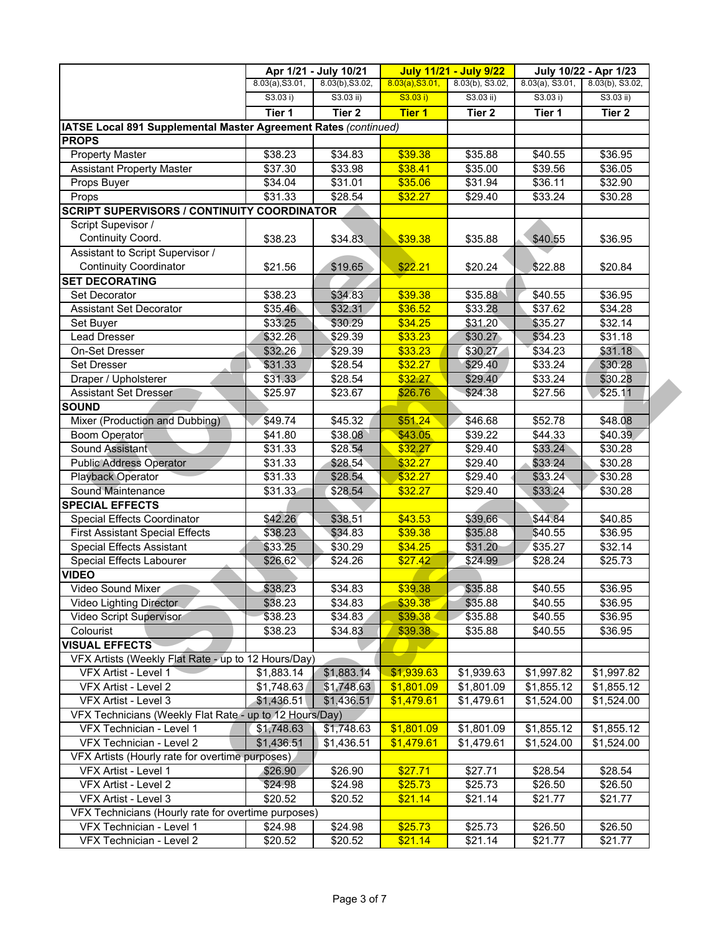|                                                                 |                     | Apr 1/21 - July 10/21 |                    | <b>July 11/21 - July 9/22</b> | July 10/22 - Apr 1/23 |                     |  |
|-----------------------------------------------------------------|---------------------|-----------------------|--------------------|-------------------------------|-----------------------|---------------------|--|
|                                                                 | 8.03(a), S3.01,     | 8.03(b), S3.02,       | 8.03(a), S3.01,    | 8.03(b), S3.02,               | $8.03(a)$ , S3.01,    | 8.03(b), S3.02,     |  |
|                                                                 | S3.03 i)            | $S3.03$ ii)           | S3.03 i)           | $S3.03$ ii)                   | S3.03 i)              | $S3.03$ ii)         |  |
|                                                                 | Tier 1              | Tier <sub>2</sub>     | <b>Tier 1</b>      | Tier <sub>2</sub>             | Tier 1                | Tier 2              |  |
| IATSE Local 891 Supplemental Master Agreement Rates (continued) |                     |                       |                    |                               |                       |                     |  |
| <b>PROPS</b>                                                    |                     |                       |                    |                               |                       |                     |  |
| <b>Property Master</b>                                          | \$38.23             | \$34.83               | \$39.38            | \$35.88                       | \$40.55               | \$36.95             |  |
| <b>Assistant Property Master</b>                                | \$37.30             | \$33.98               | \$38.41            | \$35.00                       | \$39.56               | \$36.05             |  |
| Props Buyer                                                     | \$34.04             | \$31.01               | \$35.06            | \$31.94                       | \$36.11               | \$32.90             |  |
| Props                                                           | \$31.33             | \$28.54               | \$32.27            | \$29.40                       | \$33.24               | \$30.28             |  |
| <b>SCRIPT SUPERVISORS / CONTINUITY COORDINATOR</b>              |                     |                       |                    |                               |                       |                     |  |
| Script Supevisor /                                              |                     |                       |                    |                               |                       |                     |  |
| Continuity Coord.                                               | \$38.23             | \$34.83               | \$39.38            | \$35.88                       | \$40.55               | \$36.95             |  |
| Assistant to Script Supervisor /                                |                     |                       |                    |                               |                       |                     |  |
| <b>Continuity Coordinator</b>                                   | \$21.56             | \$19.65               | \$22.21            | \$20.24                       | \$22.88               | \$20.84             |  |
| <b>SET DECORATING</b>                                           |                     |                       |                    |                               |                       |                     |  |
| <b>Set Decorator</b>                                            | $\overline{$38.23}$ | \$34.83               | \$39.38            | \$35.88                       | \$40.55               | \$36.95             |  |
| <b>Assistant Set Decorator</b>                                  | \$35.46             | \$32.31               | \$36.52            | \$33.28                       | \$37.62               | \$34.28             |  |
| Set Buyer                                                       | \$33.25             | \$30.29               | \$34.25            | \$31.20                       | \$35.27               | \$32.14             |  |
| <b>Lead Dresser</b>                                             | \$32.26             | \$29.39               | \$33.23            | \$30.27                       | \$34.23               | \$31.18             |  |
| <b>On-Set Dresser</b>                                           | \$32.26             | \$29.39               | \$33.23            | \$30.27                       | \$34.23               | \$31.18             |  |
| <b>Set Dresser</b>                                              | \$31.33             | \$28.54               | \$32.27            | \$29.40                       | \$33.24               | \$30.28             |  |
| Draper / Upholsterer                                            | \$31.33             | \$28.54               | \$32.27            | \$29.40                       | \$33.24               | \$30.28             |  |
| <b>Assistant Set Dresser</b>                                    | \$25.97             | \$23.67               | \$26.76            | \$24.38                       | \$27.56               | \$25.11             |  |
| <b>SOUND</b>                                                    |                     |                       |                    |                               |                       |                     |  |
| Mixer (Production and Dubbing)                                  | \$49.74             | \$45.32               | \$51.24            | \$46.68                       | \$52.78               | \$48.08             |  |
| Boom Operator                                                   | \$41.80             | \$38.08               | \$43.05            | \$39.22                       | \$44.33               | \$40.39             |  |
| Sound Assistant                                                 | \$31.33             | \$28.54               | \$32.27            | \$29.40                       | \$33.24               | \$30.28             |  |
| <b>Public Address Operator</b>                                  | \$31.33             | \$28.54               | \$32.27            | \$29.40                       | \$33.24               | \$30.28             |  |
| Playback Operator                                               | \$31.33             | \$28.54               | \$32.27            | \$29.40                       | \$33.24               | \$30.28             |  |
| Sound Maintenance                                               | \$31.33             | \$28.54               | \$32.27            | \$29.40                       | \$33.24               | \$30.28             |  |
| <b>SPECIAL EFFECTS</b>                                          |                     |                       |                    |                               |                       |                     |  |
| Special Effects Coordinator                                     | \$42.26             | \$38.51               | \$43.53            | \$39.66                       | \$44.84               | $\overline{$}40.85$ |  |
| <b>First Assistant Special Effects</b>                          | \$38.23             | \$34.83               | \$39.38            | \$35.88                       | \$40.55               | \$36.95             |  |
| <b>Special Effects Assistant</b>                                | \$33.25             | \$30.29               | \$34.25            | \$31.20                       | \$35.27               | \$32.14             |  |
| Special Effects Labourer                                        | \$26.62             | \$24.26               | \$27.42            | \$24.99                       | \$28.24               | \$25.73             |  |
| <b>VIDEO</b>                                                    |                     |                       |                    |                               |                       |                     |  |
| Video Sound Mixer                                               | \$38,23             | \$34.83               | \$39.38            | \$35.88                       | \$40.55               | \$36.95             |  |
| Video Lighting Director                                         | \$38.23             | \$34.83               | \$39.38            | \$35.88                       | \$40.55               | \$36.95             |  |
| Video Script Supervisor                                         | \$38.23             | \$34.83               | \$39.38            | \$35.88                       | \$40.55               | \$36.95             |  |
| Colourist                                                       | \$38.23             | \$34.83               | \$39.38            | \$35.88                       | \$40.55               | \$36.95             |  |
| <b>VISUAL EFFECTS</b>                                           |                     |                       |                    |                               |                       |                     |  |
| VFX Artists (Weekly Flat Rate - up to 12 Hours/Day)             |                     |                       |                    |                               |                       |                     |  |
| VFX Artist - Level 1                                            | \$1,883.14          | \$1,883.14            | \$1,939.63         | \$1,939.63                    | \$1,997.82            | \$1,997.82          |  |
| VFX Artist - Level 2                                            | \$1,748.63          | \$1,748.63            | \$1,801.09         | \$1,801.09                    | \$1,855.12            | \$1,855.12          |  |
| VFX Artist - Level 3                                            | \$1,436.51          | \$1,436.51            | $\sqrt{$1,479.61}$ | \$1,479.61                    | \$1,524.00            | \$1,524.00          |  |
| VFX Technicians (Weekly Flat Rate - up to 12 Hours/Day)         |                     |                       |                    |                               |                       |                     |  |
| VFX Technician - Level 1                                        | \$1,748.63          | \$1,748.63            | \$1,801.09         | \$1,801.09                    | \$1,855.12            | \$1,855.12          |  |
| VFX Technician - Level 2                                        | \$1,436.51          | \$1,436.51            | \$1,479.61         | \$1,479.61                    | \$1,524.00            | \$1,524.00          |  |
| VFX Artists (Hourly rate for overtime purposes)                 |                     |                       |                    |                               |                       |                     |  |
| VFX Artist - Level 1                                            | \$26.90             | \$26.90               | \$27.71            | \$27.71                       | \$28.54               | \$28.54             |  |
| VFX Artist - Level 2                                            | \$24.98             | \$24.98               | \$25.73            | \$25.73                       | \$26.50               | \$26.50             |  |
| VFX Artist - Level 3                                            | \$20.52             | \$20.52               | \$21.14            | \$21.14                       | \$21.77               | \$21.77             |  |
| VFX Technicians (Hourly rate for overtime purposes)             |                     |                       |                    |                               |                       |                     |  |
| VFX Technician - Level 1                                        | \$24.98             | \$24.98               | \$25.73            | \$25.73                       | \$26.50               | \$26.50             |  |
| VFX Technician - Level 2                                        | \$20.52             | \$20.52               | \$21.14            | \$21.14                       | \$21.77               | \$21.77             |  |
|                                                                 |                     |                       |                    |                               |                       |                     |  |